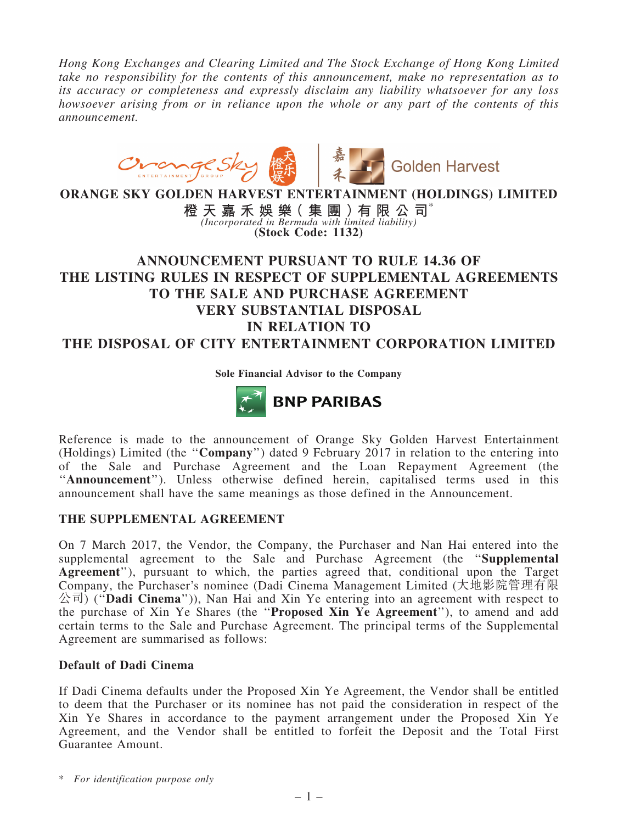*Hong Kong Exchanges and Clearing Limited and The Stock Exchange of Hong Kong Limited take no responsibility for the contents of this announcement, make no representation as to its accuracy or completeness and expressly disclaim any liability whatsoever for any loss howsoever arising from or in reliance upon the whole or any part of the contents of this announcement.*



ORANGE SKY GOLDEN HARVEST ENTERTAINMENT (HOLDINGS) LIMITED

橙 天 嘉 禾 娛 樂 ( 集 團 ) 有 限 公 司 $^*$ *(Incorporated in Bermuda with limited liability)* (Stock Code: 1132)

# ANNOUNCEMENT PURSUANT TO RULE 14.36 OF THE LISTING RULES IN RESPECT OF SUPPLEMENTAL AGREEMENTS TO THE SALE AND PURCHASE AGREEMENT VERY SUBSTANTIAL DISPOSAL IN RELATION TO THE DISPOSAL OF CITY ENTERTAINMENT CORPORATION LIMITED

Sole Financial Advisor to the Company



Reference is made to the announcement of Orange Sky Golden Harvest Entertainment (Holdings) Limited (the ''Company'') dated 9 February 2017 in relation to the entering into of the Sale and Purchase Agreement and the Loan Repayment Agreement (the "Announcement"). Unless otherwise defined herein, capitalised terms used in this announcement shall have the same meanings as those defined in the Announcement.

#### THE SUPPLEMENTAL AGREEMENT

On 7 March 2017, the Vendor, the Company, the Purchaser and Nan Hai entered into the supplemental agreement to the Sale and Purchase Agreement (the ''Supplemental Agreement''), pursuant to which, the parties agreed that, conditional upon the Target Company, the Purchaser's nominee (Dadi Cinema Management Limited (大地影院管理有限  $\langle \hat{\triangle} \vec{\pi} \rangle$  ("Dadi Cinema")), Nan Hai and Xin Ye entering into an agreement with respect to the purchase of Xin Ye Shares (the ''Proposed Xin Ye Agreement''), to amend and add certain terms to the Sale and Purchase Agreement. The principal terms of the Supplemental Agreement are summarised as follows:

#### Default of Dadi Cinema

If Dadi Cinema defaults under the Proposed Xin Ye Agreement, the Vendor shall be entitled to deem that the Purchaser or its nominee has not paid the consideration in respect of the Xin Ye Shares in accordance to the payment arrangement under the Proposed Xin Ye Agreement, and the Vendor shall be entitled to forfeit the Deposit and the Total First Guarantee Amount.

\* *For identification purpose only*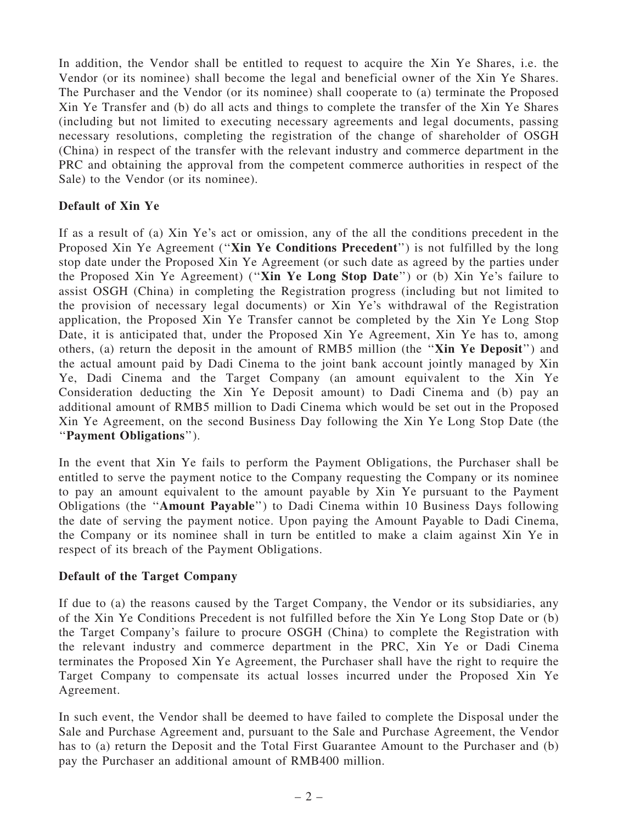In addition, the Vendor shall be entitled to request to acquire the Xin Ye Shares, i.e. the Vendor (or its nominee) shall become the legal and beneficial owner of the Xin Ye Shares. The Purchaser and the Vendor (or its nominee) shall cooperate to (a) terminate the Proposed Xin Ye Transfer and (b) do all acts and things to complete the transfer of the Xin Ye Shares (including but not limited to executing necessary agreements and legal documents, passing necessary resolutions, completing the registration of the change of shareholder of OSGH (China) in respect of the transfer with the relevant industry and commerce department in the PRC and obtaining the approval from the competent commerce authorities in respect of the Sale) to the Vendor (or its nominee).

## Default of Xin Ye

If as a result of (a) Xin Ye's act or omission, any of the all the conditions precedent in the Proposed Xin Ye Agreement ("Xin Ye Conditions Precedent") is not fulfilled by the long stop date under the Proposed Xin Ye Agreement (or such date as agreed by the parties under the Proposed Xin Ye Agreement) (''Xin Ye Long Stop Date'') or (b) Xin Ye's failure to assist OSGH (China) in completing the Registration progress (including but not limited to the provision of necessary legal documents) or Xin Ye's withdrawal of the Registration application, the Proposed Xin Ye Transfer cannot be completed by the Xin Ye Long Stop Date, it is anticipated that, under the Proposed Xin Ye Agreement, Xin Ye has to, among others, (a) return the deposit in the amount of RMB5 million (the "Xin Ye Deposit") and the actual amount paid by Dadi Cinema to the joint bank account jointly managed by Xin Ye, Dadi Cinema and the Target Company (an amount equivalent to the Xin Ye Consideration deducting the Xin Ye Deposit amount) to Dadi Cinema and (b) pay an additional amount of RMB5 million to Dadi Cinema which would be set out in the Proposed Xin Ye Agreement, on the second Business Day following the Xin Ye Long Stop Date (the ''Payment Obligations'').

In the event that Xin Ye fails to perform the Payment Obligations, the Purchaser shall be entitled to serve the payment notice to the Company requesting the Company or its nominee to pay an amount equivalent to the amount payable by Xin Ye pursuant to the Payment Obligations (the ''Amount Payable'') to Dadi Cinema within 10 Business Days following the date of serving the payment notice. Upon paying the Amount Payable to Dadi Cinema, the Company or its nominee shall in turn be entitled to make a claim against Xin Ye in respect of its breach of the Payment Obligations.

## Default of the Target Company

If due to (a) the reasons caused by the Target Company, the Vendor or its subsidiaries, any of the Xin Ye Conditions Precedent is not fulfilled before the Xin Ye Long Stop Date or (b) the Target Company's failure to procure OSGH (China) to complete the Registration with the relevant industry and commerce department in the PRC, Xin Ye or Dadi Cinema terminates the Proposed Xin Ye Agreement, the Purchaser shall have the right to require the Target Company to compensate its actual losses incurred under the Proposed Xin Ye Agreement.

In such event, the Vendor shall be deemed to have failed to complete the Disposal under the Sale and Purchase Agreement and, pursuant to the Sale and Purchase Agreement, the Vendor has to (a) return the Deposit and the Total First Guarantee Amount to the Purchaser and (b) pay the Purchaser an additional amount of RMB400 million.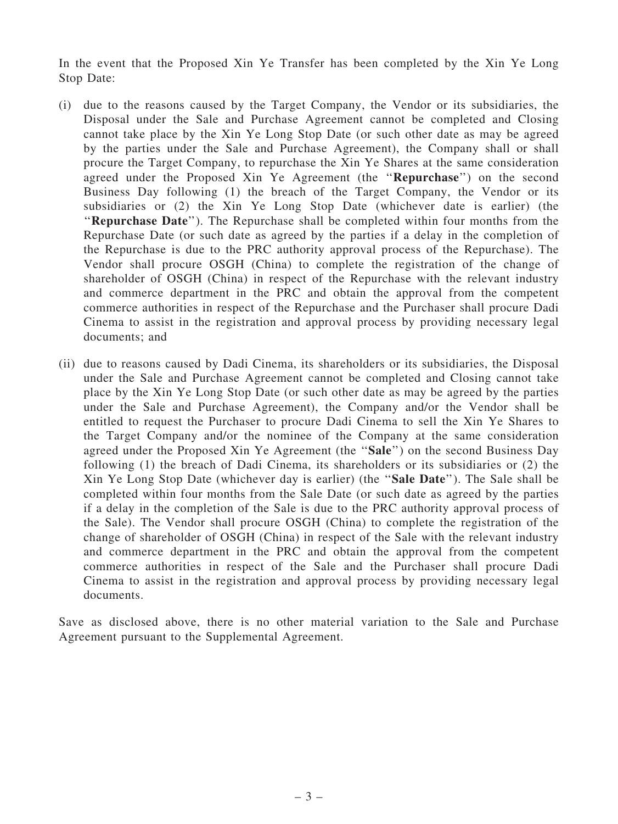In the event that the Proposed Xin Ye Transfer has been completed by the Xin Ye Long Stop Date:

- (i) due to the reasons caused by the Target Company, the Vendor or its subsidiaries, the Disposal under the Sale and Purchase Agreement cannot be completed and Closing cannot take place by the Xin Ye Long Stop Date (or such other date as may be agreed by the parties under the Sale and Purchase Agreement), the Company shall or shall procure the Target Company, to repurchase the Xin Ye Shares at the same consideration agreed under the Proposed Xin Ye Agreement (the ''Repurchase'') on the second Business Day following (1) the breach of the Target Company, the Vendor or its subsidiaries or (2) the Xin Ye Long Stop Date (whichever date is earlier) (the "Repurchase Date"). The Repurchase shall be completed within four months from the Repurchase Date (or such date as agreed by the parties if a delay in the completion of the Repurchase is due to the PRC authority approval process of the Repurchase). The Vendor shall procure OSGH (China) to complete the registration of the change of shareholder of OSGH (China) in respect of the Repurchase with the relevant industry and commerce department in the PRC and obtain the approval from the competent commerce authorities in respect of the Repurchase and the Purchaser shall procure Dadi Cinema to assist in the registration and approval process by providing necessary legal documents; and
- (ii) due to reasons caused by Dadi Cinema, its shareholders or its subsidiaries, the Disposal under the Sale and Purchase Agreement cannot be completed and Closing cannot take place by the Xin Ye Long Stop Date (or such other date as may be agreed by the parties under the Sale and Purchase Agreement), the Company and/or the Vendor shall be entitled to request the Purchaser to procure Dadi Cinema to sell the Xin Ye Shares to the Target Company and/or the nominee of the Company at the same consideration agreed under the Proposed Xin Ye Agreement (the ''Sale'') on the second Business Day following (1) the breach of Dadi Cinema, its shareholders or its subsidiaries or (2) the Xin Ye Long Stop Date (whichever day is earlier) (the ''Sale Date''). The Sale shall be completed within four months from the Sale Date (or such date as agreed by the parties if a delay in the completion of the Sale is due to the PRC authority approval process of the Sale). The Vendor shall procure OSGH (China) to complete the registration of the change of shareholder of OSGH (China) in respect of the Sale with the relevant industry and commerce department in the PRC and obtain the approval from the competent commerce authorities in respect of the Sale and the Purchaser shall procure Dadi Cinema to assist in the registration and approval process by providing necessary legal documents.

Save as disclosed above, there is no other material variation to the Sale and Purchase Agreement pursuant to the Supplemental Agreement.